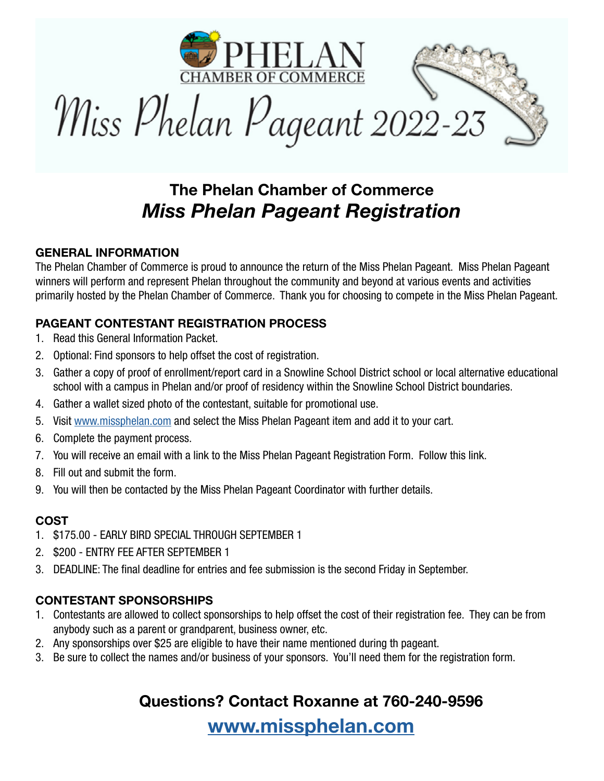

## The Phelan Chamber of Commerce *Miss Phelan Pageant Registration*

### GENERAL INFORMATION

The Phelan Chamber of Commerce is proud to announce the return of the Miss Phelan Pageant. Miss Phelan Pageant winners will perform and represent Phelan throughout the community and beyond at various events and activities primarily hosted by the Phelan Chamber of Commerce. Thank you for choosing to compete in the Miss Phelan Pageant.

### PAGEANT CONTESTANT REGISTRATION PROCESS

- 1. Read this General Information Packet.
- 2. Optional: Find sponsors to help offset the cost of registration.
- 3. Gather a copy of proof of enrollment/report card in a Snowline School District school or local alternative educational school with a campus in Phelan and/or proof of residency within the Snowline School District boundaries.
- 4. Gather a wallet sized photo of the contestant, suitable for promotional use.
- 5. Visit www.missphelan.com and select the Miss Phelan Pageant item and add it to your cart.
- 6. Complete the payment process.
- 7. You will receive an email with a link to the Miss Phelan Pageant Registration Form. Follow this link.
- 8. Fill out and submit the form.
- 9. You will then be contacted by the Miss Phelan Pageant Coordinator with further details.

### COST

- 1. \$175.00 EARLY BIRD SPECIAL THROUGH SEPTEMBER 1
- 2. \$200 ENTRY FEE AFTER SEPTEMBER 1
- 3. DEADLINE: The final deadline for entries and fee submission is the second Friday in September.

### CONTESTANT SPONSORSHIPS

- 1. Contestants are allowed to collect sponsorships to help offset the cost of their registration fee. They can be from anybody such as a parent or grandparent, business owner, etc.
- 2. Any sponsorships over \$25 are eligible to have their name mentioned during th pageant.
- 3. Be sure to collect the names and/or business of your sponsors. You'll need them for the registration form.

### Questions? Contact Roxanne at 760-240-9596

www.missphelan.com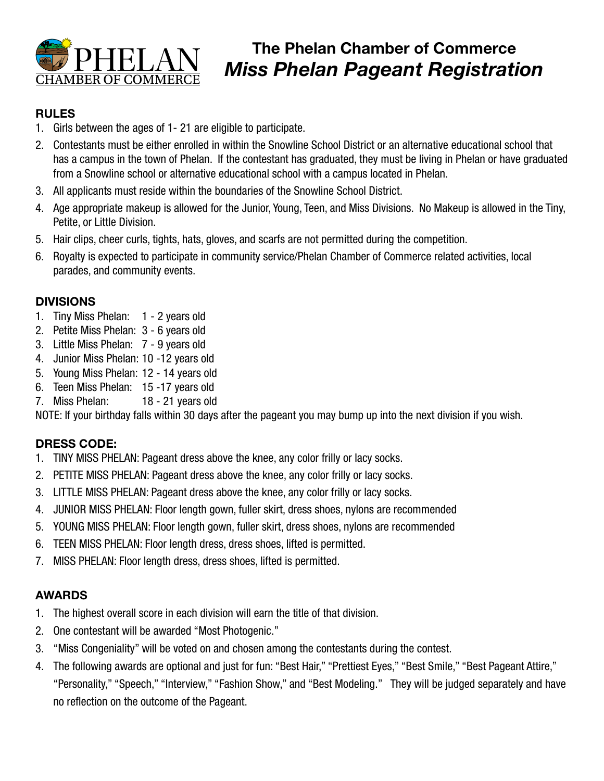

# **The Phelan Chamber of Commerce**<br>**Miss Phelan Pageant Registration** CHAMBER OF COMMERCE

### RULES

- 1. Girls between the ages of 1- 21 are eligible to participate.
- 2. Contestants must be either enrolled in within the Snowline School District or an alternative educational school that has a campus in the town of Phelan. If the contestant has graduated, they must be living in Phelan or have graduated from a Snowline school or alternative educational school with a campus located in Phelan.
- 3. All applicants must reside within the boundaries of the Snowline School District.
- 4. Age appropriate makeup is allowed for the Junior, Young, Teen, and Miss Divisions. No Makeup is allowed in the Tiny, Petite, or Little Division.
- 5. Hair clips, cheer curls, tights, hats, gloves, and scarfs are not permitted during the competition.
- 6. Royalty is expected to participate in community service/Phelan Chamber of Commerce related activities, local parades, and community events.

### DIVISIONS

- 1. Tiny Miss Phelan: 1 2 years old
- 2. Petite Miss Phelan: 3 6 years old
- 3. Little Miss Phelan: 7 9 years old
- 4. Junior Miss Phelan: 10 -12 years old
- 5. Young Miss Phelan: 12 14 years old
- 6. Teen Miss Phelan: 15 -17 years old
- 7. Miss Phelan: 18 21 years old

NOTE: If your birthday falls within 30 days after the pageant you may bump up into the next division if you wish.

### DRESS CODE:

- 1. TINY MISS PHELAN: Pageant dress above the knee, any color frilly or lacy socks.
- 2. PETITE MISS PHELAN: Pageant dress above the knee, any color frilly or lacy socks.
- 3. LITTLE MISS PHELAN: Pageant dress above the knee, any color frilly or lacy socks.
- 4. JUNIOR MISS PHELAN: Floor length gown, fuller skirt, dress shoes, nylons are recommended
- 5. YOUNG MISS PHELAN: Floor length gown, fuller skirt, dress shoes, nylons are recommended
- 6. TEEN MISS PHELAN: Floor length dress, dress shoes, lifted is permitted.
- 7. MISS PHELAN: Floor length dress, dress shoes, lifted is permitted.

### AWARDS

- 1. The highest overall score in each division will earn the title of that division.
- 2. One contestant will be awarded "Most Photogenic."
- 3. "Miss Congeniality" will be voted on and chosen among the contestants during the contest.
- 4. The following awards are optional and just for fun: "Best Hair," "Prettiest Eyes," "Best Smile," "Best Pageant Attire," "Personality," "Speech," "Interview," "Fashion Show," and "Best Modeling." They will be judged separately and have no reflection on the outcome of the Pageant.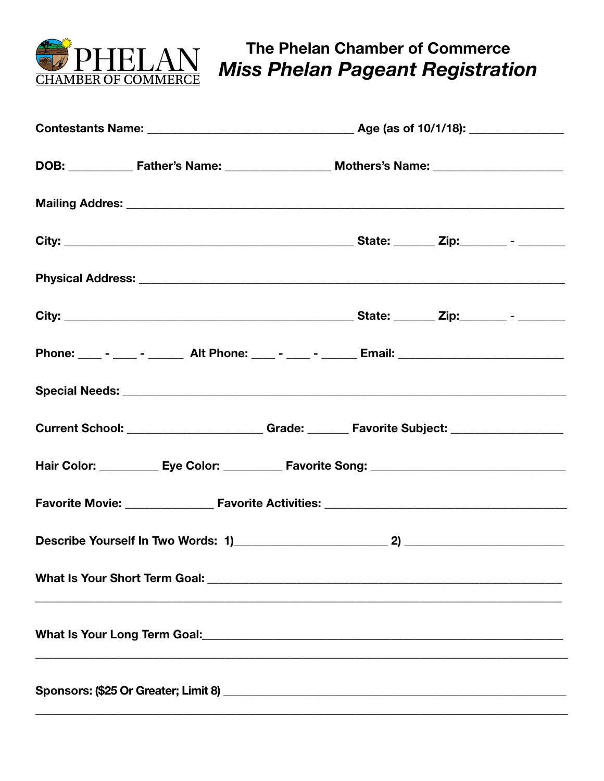

The Phelan Chamber of Commerce **Miss Phelan Pageant Registration** 

|  | Phone: ____ - ____ - ______ Alt Phone: ____ - ____ - ______ Email: _________________________________ |  |  |
|--|------------------------------------------------------------------------------------------------------|--|--|
|  |                                                                                                      |  |  |
|  | Current School: _____________________Grade: _______ Favorite Subject: ___________                    |  |  |
|  | Hair Color: ___________ Eye Color: __________ Favorite Song: ____________________                    |  |  |
|  |                                                                                                      |  |  |
|  |                                                                                                      |  |  |
|  |                                                                                                      |  |  |
|  |                                                                                                      |  |  |
|  |                                                                                                      |  |  |